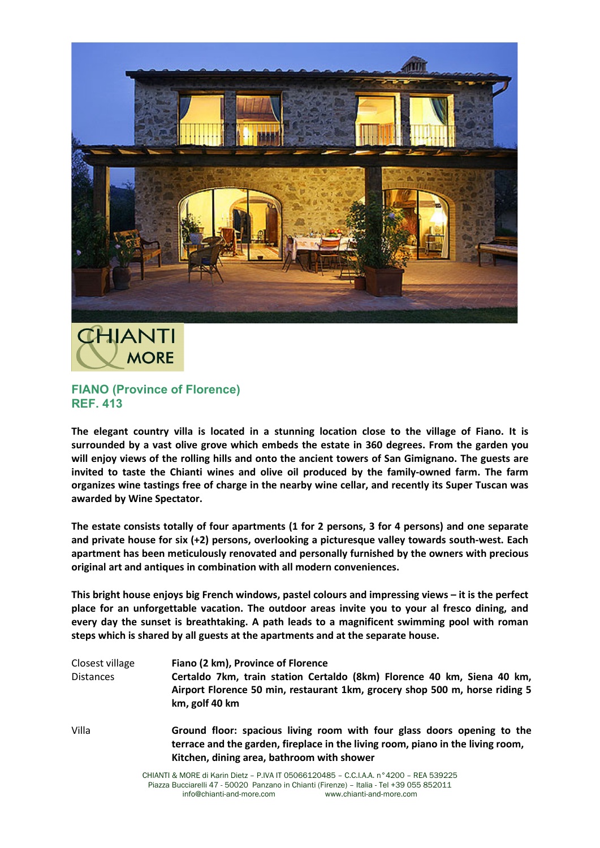



## **FIANO (Province of Florence) REF. 413**

**The elegant country villa is located in a stunning location close to the village of Fiano. It is surrounded by a vast olive grove which embeds the estate in 360 degrees. From the garden you will enjoy views of the rolling hills and onto the ancient towers of San Gimignano. The guests are invited to taste the Chianti wines and olive oil produced by the family-owned farm. The farm organizes wine tastings free of charge in the nearby wine cellar, and recently its Super Tuscan was awarded by Wine Spectator.**

**The estate consists totally of four apartments (1 for 2 persons, 3 for 4 persons) and one separate and private house for six (+2) persons, overlooking a picturesque valley towards south-west. Each apartment has been meticulously renovated and personally furnished by the owners with precious original art and antiques in combination with all modern conveniences.**

**This bright house enjoys big French windows, pastel colours and impressing views – it is the perfect place for an unforgettable vacation. The outdoor areas invite you to your al fresco dining, and every day the sunset is breathtaking. A path leads to a magnificent swimming pool with roman steps which is shared by all guests at the apartments and at the separate house.** 

| Closest village<br><b>Distances</b> | Fiano (2 km), Province of Florence<br>Certaldo 7km, train station Certaldo (8km) Florence 40 km, Siena 40 km,<br>Airport Florence 50 min, restaurant 1km, grocery shop 500 m, horse riding 5<br>km, golf 40 km |
|-------------------------------------|----------------------------------------------------------------------------------------------------------------------------------------------------------------------------------------------------------------|
| Villa                               | Ground floor: spacious living room with four glass doors opening to the<br>terrace and the garden, fireplace in the living room, piano in the living room,<br>Kitchen, dining area, bathroom with shower       |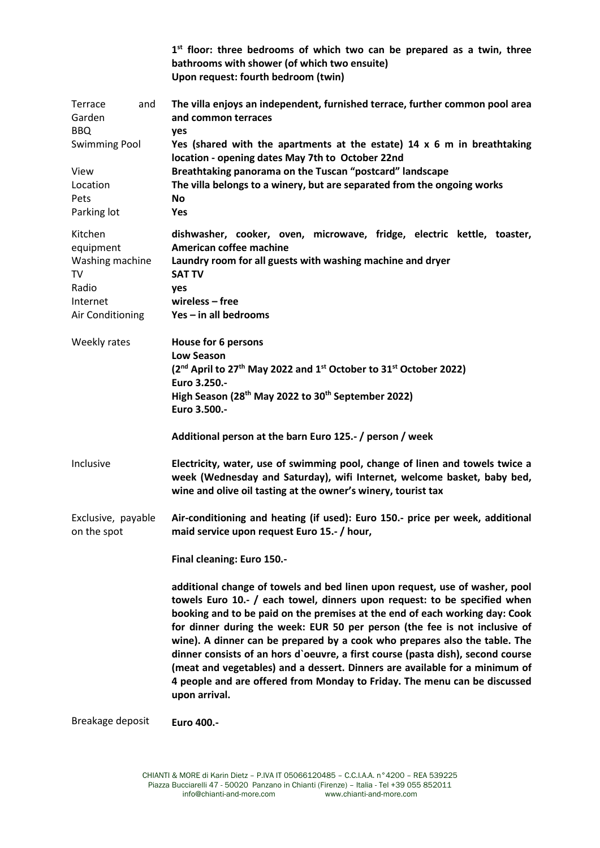|                                                                                        |     | 1st floor: three bedrooms of which two can be prepared as a twin, three<br>bathrooms with shower (of which two ensuite)<br>Upon request: fourth bedroom (twin)                                                                                                                                                                                                                                                                                                                                                                                                                                                                                                      |
|----------------------------------------------------------------------------------------|-----|---------------------------------------------------------------------------------------------------------------------------------------------------------------------------------------------------------------------------------------------------------------------------------------------------------------------------------------------------------------------------------------------------------------------------------------------------------------------------------------------------------------------------------------------------------------------------------------------------------------------------------------------------------------------|
| Terrace<br>Garden<br><b>BBQ</b><br><b>Swimming Pool</b>                                | and | The villa enjoys an independent, furnished terrace, further common pool area<br>and common terraces<br>yes<br>Yes (shared with the apartments at the estate) $14 \times 6$ m in breathtaking                                                                                                                                                                                                                                                                                                                                                                                                                                                                        |
| View<br>Location<br>Pets<br>Parking lot                                                |     | location - opening dates May 7th to October 22nd<br>Breathtaking panorama on the Tuscan "postcard" landscape<br>The villa belongs to a winery, but are separated from the ongoing works<br>No<br><b>Yes</b>                                                                                                                                                                                                                                                                                                                                                                                                                                                         |
| Kitchen<br>equipment<br>Washing machine<br>TV<br>Radio<br>Internet<br>Air Conditioning |     | dishwasher, cooker, oven, microwave, fridge, electric kettle, toaster,<br>American coffee machine<br>Laundry room for all guests with washing machine and dryer<br><b>SAT TV</b><br>yes<br>$wireless-free$<br>Yes - in all bedrooms                                                                                                                                                                                                                                                                                                                                                                                                                                 |
| Weekly rates                                                                           |     | House for 6 persons<br><b>Low Season</b><br>(2 <sup>nd</sup> April to 27 <sup>th</sup> May 2022 and 1 <sup>st</sup> October to 31 <sup>st</sup> October 2022)<br>Euro 3.250 .-<br>High Season (28 <sup>th</sup> May 2022 to 30 <sup>th</sup> September 2022)<br>Euro 3.500 .-                                                                                                                                                                                                                                                                                                                                                                                       |
|                                                                                        |     | Additional person at the barn Euro 125.- / person / week                                                                                                                                                                                                                                                                                                                                                                                                                                                                                                                                                                                                            |
| Inclusive                                                                              |     | Electricity, water, use of swimming pool, change of linen and towels twice a<br>week (Wednesday and Saturday), wifi Internet, welcome basket, baby bed,<br>wine and olive oil tasting at the owner's winery, tourist tax                                                                                                                                                                                                                                                                                                                                                                                                                                            |
| Exclusive, payable<br>on the spot                                                      |     | Air-conditioning and heating (if used): Euro 150.- price per week, additional<br>maid service upon request Euro 15.- / hour,                                                                                                                                                                                                                                                                                                                                                                                                                                                                                                                                        |
|                                                                                        |     | Final cleaning: Euro 150 .-                                                                                                                                                                                                                                                                                                                                                                                                                                                                                                                                                                                                                                         |
|                                                                                        |     | additional change of towels and bed linen upon request, use of washer, pool<br>towels Euro 10.- / each towel, dinners upon request: to be specified when<br>booking and to be paid on the premises at the end of each working day: Cook<br>for dinner during the week: EUR 50 per person (the fee is not inclusive of<br>wine). A dinner can be prepared by a cook who prepares also the table. The<br>dinner consists of an hors d'oeuvre, a first course (pasta dish), second course<br>(meat and vegetables) and a dessert. Dinners are available for a minimum of<br>4 people and are offered from Monday to Friday. The menu can be discussed<br>upon arrival. |
| Breakage deposit                                                                       |     | Euro 400 .-                                                                                                                                                                                                                                                                                                                                                                                                                                                                                                                                                                                                                                                         |

CHIANTI & MORE di Karin Dietz – P.IVA IT 05066120485 – C.C.I.A.A. n°4200 – REA 539225 Piazza Bucciarelli 47 - 50020 Panzano in Chianti (Firenze) – Italia - Tel +39 055 852011 info@chianti-and-more.com www.chianti-and-more.com